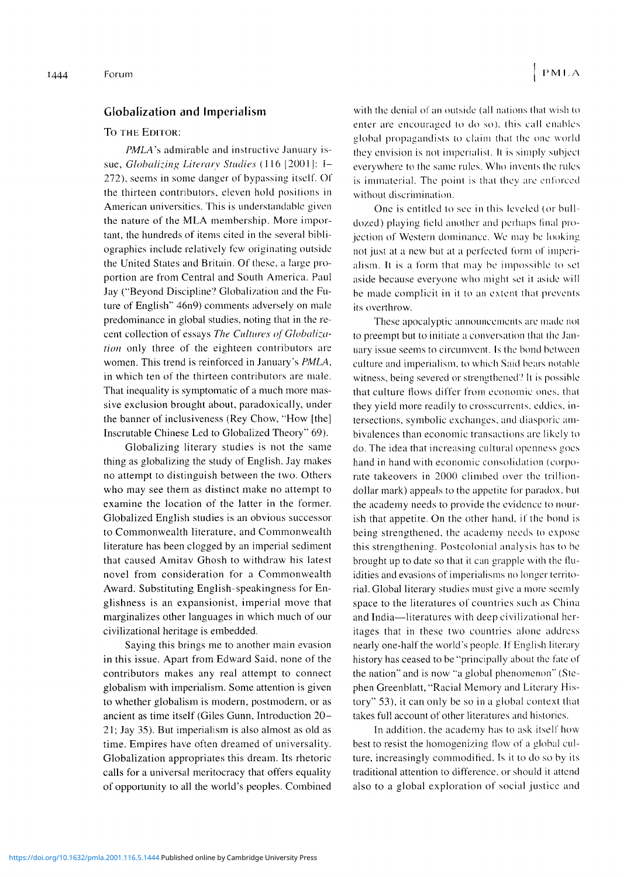## **Globalization and Imperialism**

## To the Editor:

*PMLA's* admirable and instructive January issue, *Globalizing Literary Studies* (116 [2001): I-272), seems in some danger of bypassing itself. Of the thirteen contributors, eleven hold positions in American universities. This is understandable given the nature of the MLA membership. More important, the hundreds of items cited in the several bibliographies include relatively few originating outside the United States and Britain. Of these, a large proportion are from Central and South America. Paul Jay ("Beyond Discipline? Globalization and the Future of English" 46n9) comments adversely on male predominance in global studies, noting that in the recent collection of essays *The Cultures ofGlobalization* only three of the eighteen contributors are women. This trend is reinforced in January's *PMLA,* in which ten of the thirteen contributors are male. That inequality is symptomatic of a much more massive exclusion brought about, paradoxically, under the banner of inclusiveness (Rey Chow, "How [the] Inscrutable Chinese Led to Globalized Theory" 69).

Globalizing literary studies is not the same thing as globalizing the study of English. Jay makes no attempt to distinguish between the two. Others who may see them as distinct make no attempt to examine the location of the latter in the former. Globalized English studies is an obvious successor to Commonwealth literature, and Commonwealth literature has been clogged by an imperial sediment that caused Amitav Ghosh to withdraw his latest novel from consideration for a Commonwealth Award. Substituting English-speakingness for Englishness is an expansionist, imperial move that marginalizes other languages in which much of our civilizational heritage is embedded.

Saying this brings me to another main evasion in this issue. Apart from Edward Said, none of the contributors makes any real attempt to connect globalism with imperialism. Some attention is given to whether globalism is modern, postmodern, or as ancient as time itself (Giles Gunn, Introduction 20- 21; Jay 35). But imperialism is also almost as old as time. Empires have often dreamed of universality. Globalization appropriates this dream. Its rhetoric calls for a universal meritocracy that offers equality of opportunity to all the world's peoples. Combined with the denial of an outside (all nations that wish to enter are encouraged to do so), this call enables global propagandists to claim that the one world they envision is not imperialist. Il is simply subject everywhere to the same rules. Who invents the rules is immaterial. The point is that they are enforced without discrimination.

One is entitled to see in this leveled (or bulldozed) playing field another and perhaps final projection of Western dominance. We may be looking not just at a new but at a perfected form of imperialism. It is a form that may be impossible to set aside because everyone who might set it aside will be made complicit in it to an extent that prevents its overthrow.

These apocalyptic announcements are made not to preempt but to initiate a conversation that the January issue seems to circumvent. Is the bond between culture and imperialism, to which Said bears notable witness, being severed or strengthened? It is possible that culture Hows differ from economic ones, that they yield more readily to crosscurrents, eddies, intersections, symbolic exchanges, and diasporic ambivalences than economic transactions are likely to do. The idea that increasing cultural openness goes hand in hand with economic consolidation (corporate takeovers in 2000 climbed over the trilliondollar mark) appeals to the appetite for paradox, but the academy needs to provide the evidence lo nourish that appetite. On the other hand, if the bond is being strengthened, the academy needs to expose this strengthening. Postcolonial analysis has to be brought up to date so that it can grapple with the fluidities and evasions of imperialisms no longer territorial. Global literary studies must give a more seemly space to the literatures of countries such as China and India—literatures with deep civilizational heritages that in these two countries alone address nearly one-half the world's people. If English literary history has ceased to be "principally about the fate of the nation" and is now "a global phenomenon" (Stephen Greenblatt, "Racial Memory and Literary History" 53). it can only be so in a global context that takes full account of other literatures and histories.

In addition, the academy has to ask itself how best to resist the homogenizing flow of a global culture, increasingly commodified. Is it to do so by its traditional attention to difference, or should it attend also to a global exploration of social justice and